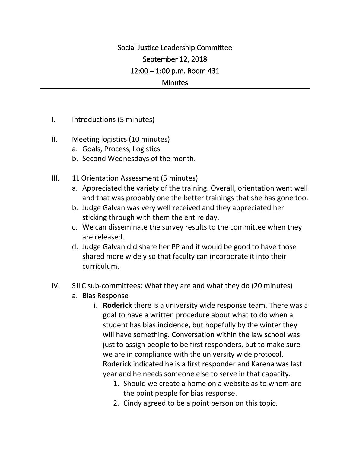## Social Justice Leadership Committee September 12, 2018 12:00 – 1:00 p.m. Room 431 **Minutes**

I. Introductions (5 minutes)

## II. Meeting logistics (10 minutes)

- a. Goals, Process, Logistics
- b. Second Wednesdays of the month.
- III. 1L Orientation Assessment (5 minutes)
	- a. Appreciated the variety of the training. Overall, orientation went well and that was probably one the better trainings that she has gone too.
	- b. Judge Galvan was very well received and they appreciated her sticking through with them the entire day.
	- c. We can disseminate the survey results to the committee when they are released.
	- d. Judge Galvan did share her PP and it would be good to have those shared more widely so that faculty can incorporate it into their curriculum.
- IV. SJLC sub-committees: What they are and what they do (20 minutes) a. Bias Response
	- i. **Roderick** there is a university wide response team. There was a goal to have a written procedure about what to do when a student has bias incidence, but hopefully by the winter they will have something. Conversation within the law school was just to assign people to be first responders, but to make sure we are in compliance with the university wide protocol. Roderick indicated he is a first responder and Karena was last year and he needs someone else to serve in that capacity.
		- 1. Should we create a home on a website as to whom are the point people for bias response.
		- 2. Cindy agreed to be a point person on this topic.